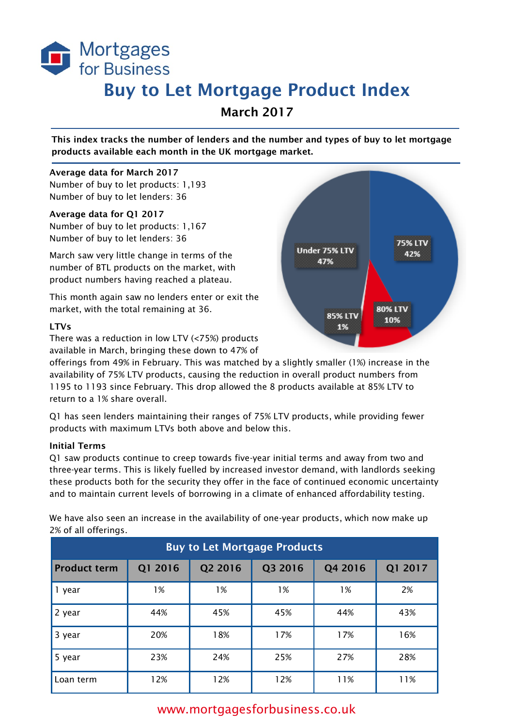

# Buy to Let Mortgage Product Index

March 2017

This index tracks the number of lenders and the number and types of buy to let mortgage products available each month in the UK mortgage market.

### Average data for March 2017

Number of buy to let products: 1,193 Number of buy to let lenders: 36

### Average data for Q1 2017

Number of buy to let products: 1,167 Number of buy to let lenders: 36

March saw very little change in terms of the number of BTL products on the market, with product numbers having reached a plateau.

This month again saw no lenders enter or exit the market, with the total remaining at 36.

## LTVs

There was a reduction in low LTV (<75%) products available in March, bringing these down to 47% of

offerings from 49% in February. This was matched by a slightly smaller (1%) increase in the availability of 75% LTV products, causing the reduction in overall product numbers from 1195 to 1193 since February. This drop allowed the 8 products available at 85% LTV to return to a 1% share overall.

Q1 has seen lenders maintaining their ranges of 75% LTV products, while providing fewer products with maximum LTVs both above and below this.

## Initial Terms

Q1 saw products continue to creep towards five-year initial terms and away from two and three-year terms. This is likely fuelled by increased investor demand, with landlords seeking these products both for the security they offer in the face of continued economic uncertainty and to maintain current levels of borrowing in a climate of enhanced affordability testing.

We have also seen an increase in the availability of one-year products, which now make up 2% of all offerings.

| <b>Buy to Let Mortgage Products</b> |         |         |         |         |         |  |  |  |
|-------------------------------------|---------|---------|---------|---------|---------|--|--|--|
| <b>Product term</b>                 | Q1 2016 | Q2 2016 | Q3 2016 | Q4 2016 | Q1 2017 |  |  |  |
| 1 year                              | 1%      | 1%      | 1%      | 1%      | 2%      |  |  |  |
| 2 year                              | 44%     | 45%     | 45%     | 44%     | 43%     |  |  |  |
| 3 year                              | 20%     | 18%     | 17%     | 17%     | 16%     |  |  |  |
| 5 year                              | 23%     | 24%     | 25%     | 27%     | 28%     |  |  |  |
| Loan term                           | 12%     | 12%     | 12%     | 11%     | 11%     |  |  |  |



# www.mortgagesforbusiness.co.uk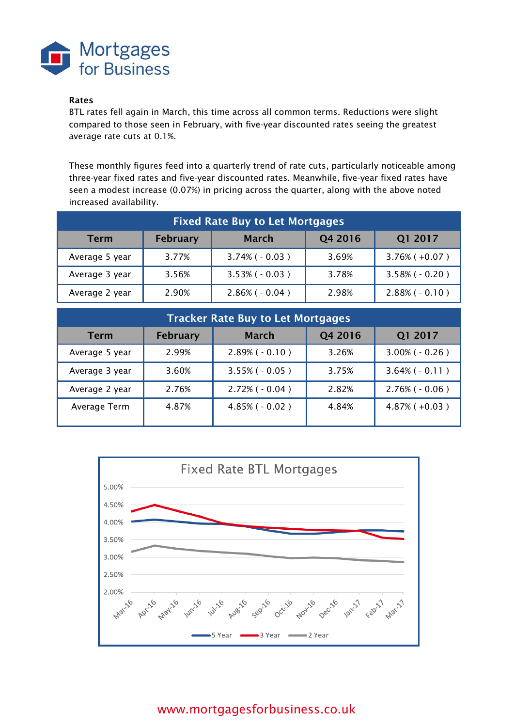

# Rates

BTL rates fell again in March, this time across all common terms. Reductions were slight compared to those seen in February, with five-year discounted rates seeing the greatest average rate cuts at 0.1%.

These monthly figures feed into a quarterly trend of rate cuts, particularly noticeable among three-year fixed rates and five-year discounted rates. Meanwhile, five-year fixed rates have seen a modest increase (0.07%) in pricing across the quarter, along with the above noted increased availability.

| <b>Fixed Rate Buy to Let Mortgages</b> |                 |                      |         |                      |  |  |  |
|----------------------------------------|-----------------|----------------------|---------|----------------------|--|--|--|
| <b>Term</b>                            | <b>February</b> | <b>March</b>         | Q4 2016 | Q1 2017              |  |  |  |
| Average 5 year                         | 3.77%           | $3.74\%$ ( $-0.03$ ) | 3.69%   | $3.76\%$ (+0.07)     |  |  |  |
| Average 3 year                         | 3.56%           | $3.53\%$ ( $-0.03$ ) | 3.78%   | $3.58\%$ ( $-0.20$ ) |  |  |  |
| Average 2 year                         | 2.90%           | $2.86\%$ ( $-0.04$ ) | 2.98%   | $2.88\%$ ( $-0.10$ ) |  |  |  |

| <b>Tracker Rate Buy to Let Mortgages</b> |                 |                      |         |                      |  |  |  |
|------------------------------------------|-----------------|----------------------|---------|----------------------|--|--|--|
| <b>Term</b>                              | <b>February</b> | <b>March</b>         | Q4 2016 | Q1 2017              |  |  |  |
| Average 5 year                           | 2.99%           | $2.89\%$ ( $-0.10$ ) | 3.26%   | $3.00\%$ ( $-0.26$ ) |  |  |  |
| Average 3 year                           | 3.60%           | $3.55\%$ ( $-0.05$ ) | 3.75%   | $3.64\%$ ( $-0.11$ ) |  |  |  |
| Average 2 year                           | 2.76%           | $2.72\%$ ( $-0.04$ ) | 2.82%   | $2.76\%$ ( $-0.06$ ) |  |  |  |
| Average Term                             | 4.87%           | $4.85\%$ ( $-0.02$ ) | 4.84%   | $4.87\%$ ( $+0.03$ ) |  |  |  |



# www.mortgagesforbusiness.co.uk